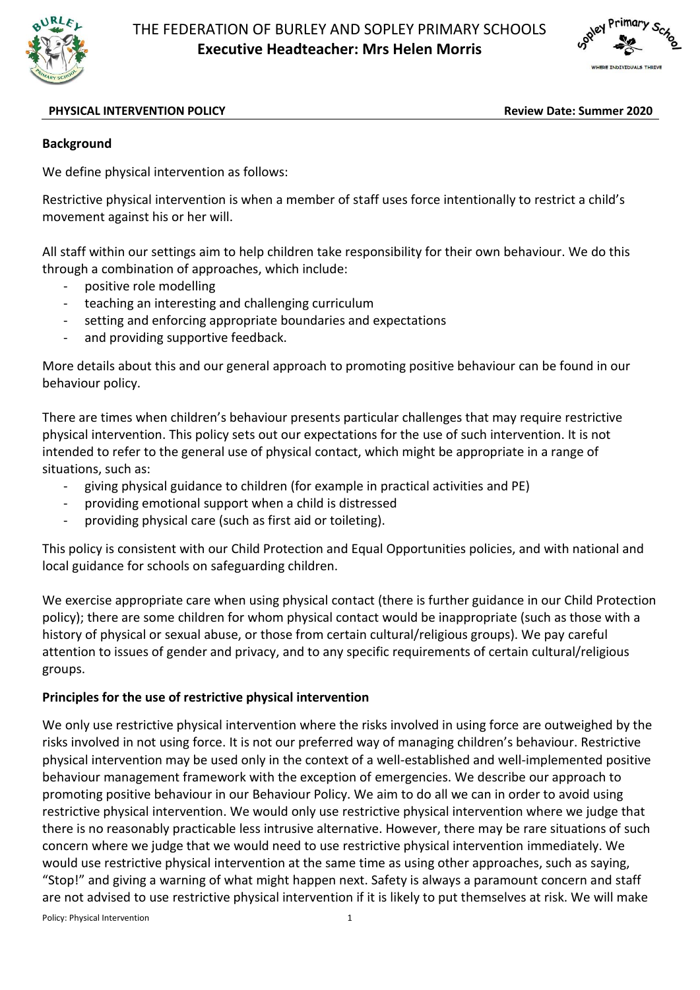



#### **PHYSICAL INTERVENTION POLICY Review Date: Summer 2020**

### **Background**

We define physical intervention as follows:

Restrictive physical intervention is when a member of staff uses force intentionally to restrict a child's movement against his or her will.

All staff within our settings aim to help children take responsibility for their own behaviour. We do this through a combination of approaches, which include:

- positive role modelling
- teaching an interesting and challenging curriculum
- setting and enforcing appropriate boundaries and expectations
- and providing supportive feedback.

More details about this and our general approach to promoting positive behaviour can be found in our behaviour policy.

There are times when children's behaviour presents particular challenges that may require restrictive physical intervention. This policy sets out our expectations for the use of such intervention. It is not intended to refer to the general use of physical contact, which might be appropriate in a range of situations, such as:

- giving physical guidance to children (for example in practical activities and PE)
- providing emotional support when a child is distressed
- providing physical care (such as first aid or toileting).

This policy is consistent with our Child Protection and Equal Opportunities policies, and with national and local guidance for schools on safeguarding children.

We exercise appropriate care when using physical contact (there is further guidance in our Child Protection policy); there are some children for whom physical contact would be inappropriate (such as those with a history of physical or sexual abuse, or those from certain cultural/religious groups). We pay careful attention to issues of gender and privacy, and to any specific requirements of certain cultural/religious groups.

### **Principles for the use of restrictive physical intervention**

We only use restrictive physical intervention where the risks involved in using force are outweighed by the risks involved in not using force. It is not our preferred way of managing children's behaviour. Restrictive physical intervention may be used only in the context of a well-established and well-implemented positive behaviour management framework with the exception of emergencies. We describe our approach to promoting positive behaviour in our Behaviour Policy. We aim to do all we can in order to avoid using restrictive physical intervention. We would only use restrictive physical intervention where we judge that there is no reasonably practicable less intrusive alternative. However, there may be rare situations of such concern where we judge that we would need to use restrictive physical intervention immediately. We would use restrictive physical intervention at the same time as using other approaches, such as saying, "Stop!" and giving a warning of what might happen next. Safety is always a paramount concern and staff are not advised to use restrictive physical intervention if it is likely to put themselves at risk. We will make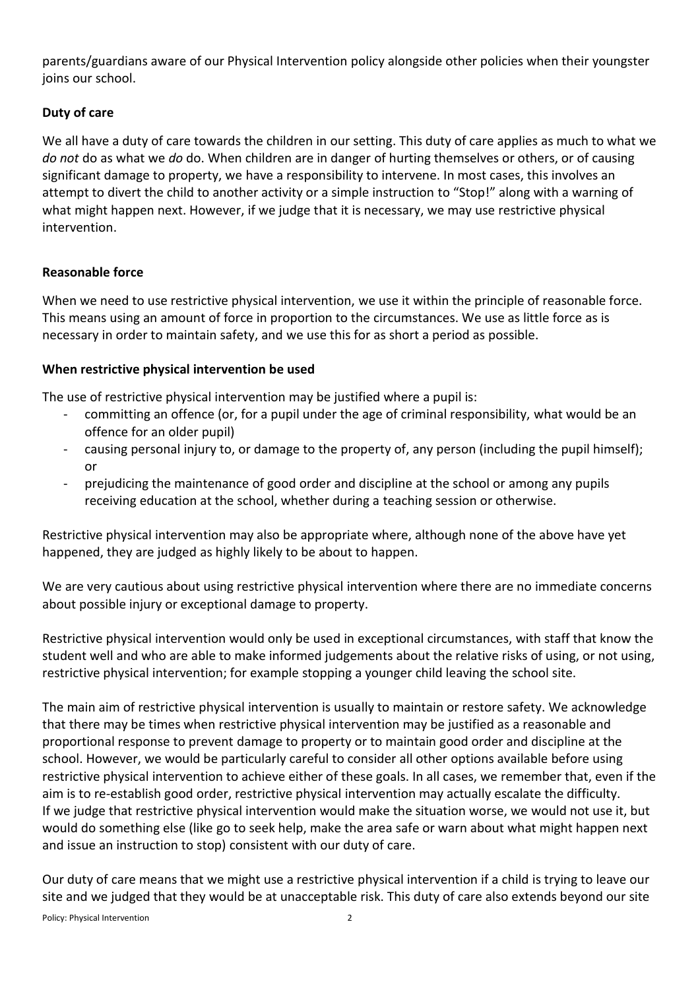parents/guardians aware of our Physical Intervention policy alongside other policies when their youngster joins our school.

# **Duty of care**

We all have a duty of care towards the children in our setting. This duty of care applies as much to what we *do not* do as what we *do* do. When children are in danger of hurting themselves or others, or of causing significant damage to property, we have a responsibility to intervene. In most cases, this involves an attempt to divert the child to another activity or a simple instruction to "Stop!" along with a warning of what might happen next. However, if we judge that it is necessary, we may use restrictive physical intervention.

# **Reasonable force**

When we need to use restrictive physical intervention, we use it within the principle of reasonable force. This means using an amount of force in proportion to the circumstances. We use as little force as is necessary in order to maintain safety, and we use this for as short a period as possible.

### **When restrictive physical intervention be used**

The use of restrictive physical intervention may be justified where a pupil is:

- committing an offence (or, for a pupil under the age of criminal responsibility, what would be an offence for an older pupil)
- causing personal injury to, or damage to the property of, any person (including the pupil himself); or
- prejudicing the maintenance of good order and discipline at the school or among any pupils receiving education at the school, whether during a teaching session or otherwise.

Restrictive physical intervention may also be appropriate where, although none of the above have yet happened, they are judged as highly likely to be about to happen.

We are very cautious about using restrictive physical intervention where there are no immediate concerns about possible injury or exceptional damage to property.

Restrictive physical intervention would only be used in exceptional circumstances, with staff that know the student well and who are able to make informed judgements about the relative risks of using, or not using, restrictive physical intervention; for example stopping a younger child leaving the school site.

The main aim of restrictive physical intervention is usually to maintain or restore safety. We acknowledge that there may be times when restrictive physical intervention may be justified as a reasonable and proportional response to prevent damage to property or to maintain good order and discipline at the school. However, we would be particularly careful to consider all other options available before using restrictive physical intervention to achieve either of these goals. In all cases, we remember that, even if the aim is to re-establish good order, restrictive physical intervention may actually escalate the difficulty. If we judge that restrictive physical intervention would make the situation worse, we would not use it, but would do something else (like go to seek help, make the area safe or warn about what might happen next and issue an instruction to stop) consistent with our duty of care.

Our duty of care means that we might use a restrictive physical intervention if a child is trying to leave our site and we judged that they would be at unacceptable risk. This duty of care also extends beyond our site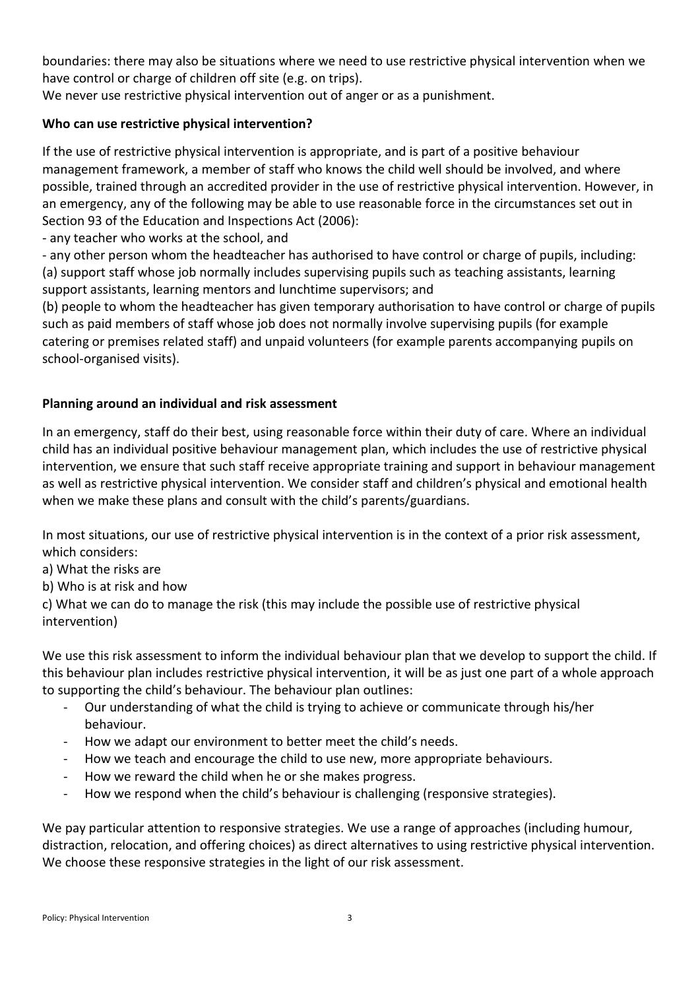boundaries: there may also be situations where we need to use restrictive physical intervention when we have control or charge of children off site (e.g. on trips).

We never use restrictive physical intervention out of anger or as a punishment.

# **Who can use restrictive physical intervention?**

If the use of restrictive physical intervention is appropriate, and is part of a positive behaviour management framework, a member of staff who knows the child well should be involved, and where possible, trained through an accredited provider in the use of restrictive physical intervention. However, in an emergency, any of the following may be able to use reasonable force in the circumstances set out in Section 93 of the Education and Inspections Act (2006):

- any teacher who works at the school, and

- any other person whom the headteacher has authorised to have control or charge of pupils, including: (a) support staff whose job normally includes supervising pupils such as teaching assistants, learning support assistants, learning mentors and lunchtime supervisors; and

(b) people to whom the headteacher has given temporary authorisation to have control or charge of pupils such as paid members of staff whose job does not normally involve supervising pupils (for example catering or premises related staff) and unpaid volunteers (for example parents accompanying pupils on school-organised visits).

# **Planning around an individual and risk assessment**

In an emergency, staff do their best, using reasonable force within their duty of care. Where an individual child has an individual positive behaviour management plan, which includes the use of restrictive physical intervention, we ensure that such staff receive appropriate training and support in behaviour management as well as restrictive physical intervention. We consider staff and children's physical and emotional health when we make these plans and consult with the child's parents/guardians.

In most situations, our use of restrictive physical intervention is in the context of a prior risk assessment, which considers:

a) What the risks are

b) Who is at risk and how

c) What we can do to manage the risk (this may include the possible use of restrictive physical intervention)

We use this risk assessment to inform the individual behaviour plan that we develop to support the child. If this behaviour plan includes restrictive physical intervention, it will be as just one part of a whole approach to supporting the child's behaviour. The behaviour plan outlines:

- Our understanding of what the child is trying to achieve or communicate through his/her behaviour.
- How we adapt our environment to better meet the child's needs.
- How we teach and encourage the child to use new, more appropriate behaviours.
- How we reward the child when he or she makes progress.
- How we respond when the child's behaviour is challenging (responsive strategies).

We pay particular attention to responsive strategies. We use a range of approaches (including humour, distraction, relocation, and offering choices) as direct alternatives to using restrictive physical intervention. We choose these responsive strategies in the light of our risk assessment.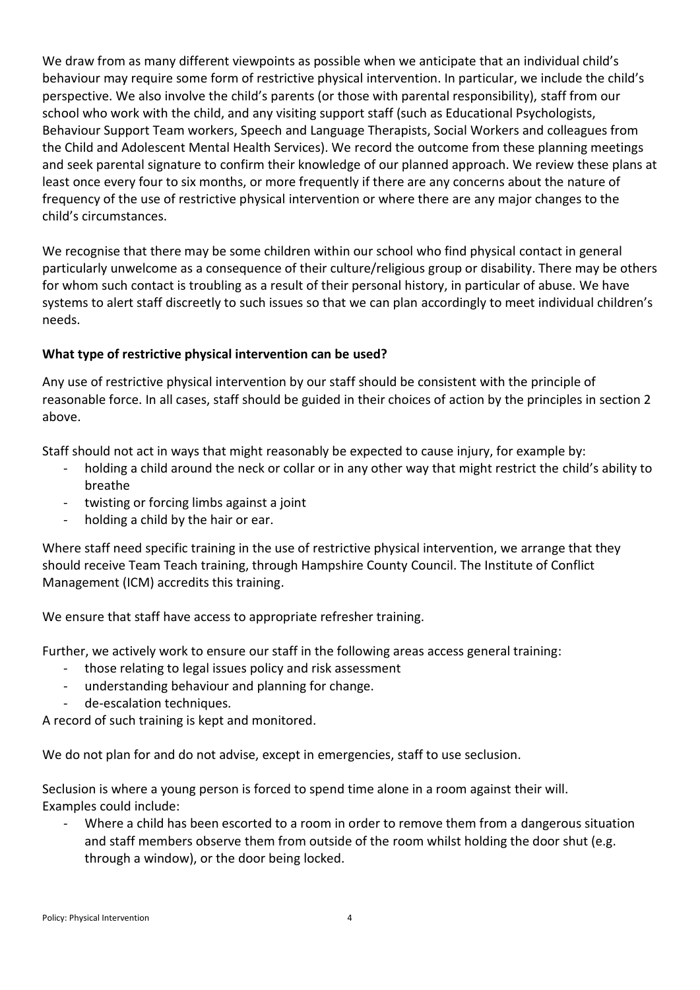We draw from as many different viewpoints as possible when we anticipate that an individual child's behaviour may require some form of restrictive physical intervention. In particular, we include the child's perspective. We also involve the child's parents (or those with parental responsibility), staff from our school who work with the child, and any visiting support staff (such as Educational Psychologists, Behaviour Support Team workers, Speech and Language Therapists, Social Workers and colleagues from the Child and Adolescent Mental Health Services). We record the outcome from these planning meetings and seek parental signature to confirm their knowledge of our planned approach. We review these plans at least once every four to six months, or more frequently if there are any concerns about the nature of frequency of the use of restrictive physical intervention or where there are any major changes to the child's circumstances.

We recognise that there may be some children within our school who find physical contact in general particularly unwelcome as a consequence of their culture/religious group or disability. There may be others for whom such contact is troubling as a result of their personal history, in particular of abuse. We have systems to alert staff discreetly to such issues so that we can plan accordingly to meet individual children's needs.

# **What type of restrictive physical intervention can be used?**

Any use of restrictive physical intervention by our staff should be consistent with the principle of reasonable force. In all cases, staff should be guided in their choices of action by the principles in section 2 above.

Staff should not act in ways that might reasonably be expected to cause injury, for example by:

- holding a child around the neck or collar or in any other way that might restrict the child's ability to breathe
- twisting or forcing limbs against a joint
- holding a child by the hair or ear.

Where staff need specific training in the use of restrictive physical intervention, we arrange that they should receive Team Teach training, through Hampshire County Council. The Institute of Conflict Management (ICM) accredits this training.

We ensure that staff have access to appropriate refresher training.

Further, we actively work to ensure our staff in the following areas access general training:

- those relating to legal issues policy and risk assessment
- understanding behaviour and planning for change.
- de-escalation techniques.

A record of such training is kept and monitored.

We do not plan for and do not advise, except in emergencies, staff to use seclusion.

Seclusion is where a young person is forced to spend time alone in a room against their will. Examples could include:

Where a child has been escorted to a room in order to remove them from a dangerous situation and staff members observe them from outside of the room whilst holding the door shut (e.g. through a window), or the door being locked.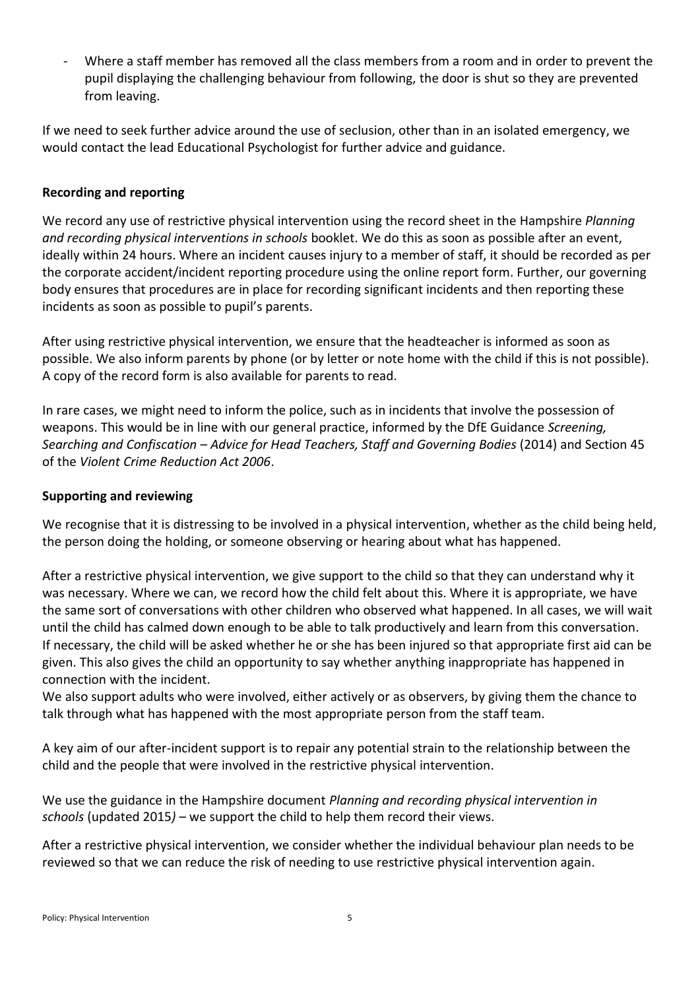Where a staff member has removed all the class members from a room and in order to prevent the pupil displaying the challenging behaviour from following, the door is shut so they are prevented from leaving.

If we need to seek further advice around the use of seclusion, other than in an isolated emergency, we would contact the lead Educational Psychologist for further advice and guidance.

### **Recording and reporting**

We record any use of restrictive physical intervention using the record sheet in the Hampshire *Planning and recording physical interventions in schools* booklet. We do this as soon as possible after an event, ideally within 24 hours. Where an incident causes injury to a member of staff, it should be recorded as per the corporate accident/incident reporting procedure using the online report form. Further, our governing body ensures that procedures are in place for recording significant incidents and then reporting these incidents as soon as possible to pupil's parents.

After using restrictive physical intervention, we ensure that the headteacher is informed as soon as possible. We also inform parents by phone (or by letter or note home with the child if this is not possible). A copy of the record form is also available for parents to read.

In rare cases, we might need to inform the police, such as in incidents that involve the possession of weapons. This would be in line with our general practice, informed by the DfE Guidance *Screening, Searching and Confiscation – Advice for Head Teachers, Staff and Governing Bodies* (2014) and Section 45 of the *Violent Crime Reduction Act 2006*.

### **Supporting and reviewing**

We recognise that it is distressing to be involved in a physical intervention, whether as the child being held, the person doing the holding, or someone observing or hearing about what has happened.

After a restrictive physical intervention, we give support to the child so that they can understand why it was necessary. Where we can, we record how the child felt about this. Where it is appropriate, we have the same sort of conversations with other children who observed what happened. In all cases, we will wait until the child has calmed down enough to be able to talk productively and learn from this conversation. If necessary, the child will be asked whether he or she has been injured so that appropriate first aid can be given. This also gives the child an opportunity to say whether anything inappropriate has happened in connection with the incident.

We also support adults who were involved, either actively or as observers, by giving them the chance to talk through what has happened with the most appropriate person from the staff team.

A key aim of our after-incident support is to repair any potential strain to the relationship between the child and the people that were involved in the restrictive physical intervention.

We use the guidance in the Hampshire document *Planning and recording physical intervention in schools* (updated 2015*)* – we support the child to help them record their views.

After a restrictive physical intervention, we consider whether the individual behaviour plan needs to be reviewed so that we can reduce the risk of needing to use restrictive physical intervention again.